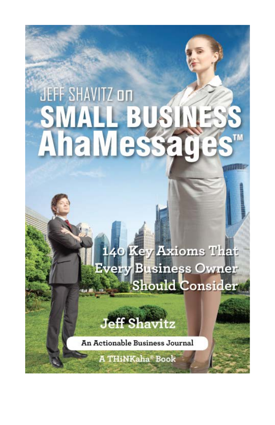### **JEFF SHAVITZ on AhaMessa** TМ

140 Key Axioms That **Every Business Owner** Should Consider

**MARTINEZ** 

**ff Shavitz** 

An Actionable Business Journal

**A THINKaha® Book**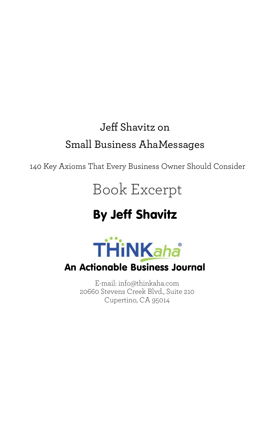#### Jeff Shavitz on Small Business AhaMessages

140 Key Axioms That Every Business Owner Should Consider

#### Book Excerpt

#### By Jeff Shavitz



#### An Actionable Business Journal

E-mail: [info@thinkaha.com](mailto:info@thinkaha.com) 20660 Stevens Creek Blvd., Suite 210 Cupertino, CA 95014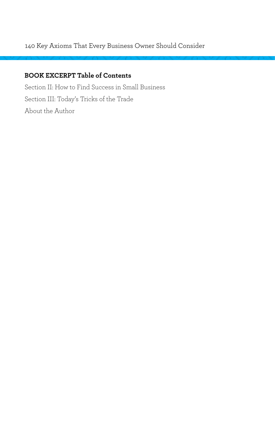#### 140 Key Axioms That Every Business Owner Should Consider

#### **BOOK EXCERPT Table of Contents**

Section II: How to Find Success in Small Business Section III: Today's Tricks of the Trade About the Author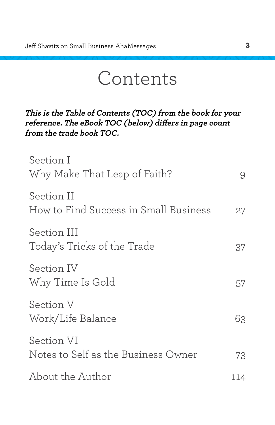### Contents

**This is the Table of Contents (TOC) from the book for your reference. The eBook TOC (below) differs in page count from the trade book TOC.**

| Section I<br>Why Make That Leap of Faith?           | 9   |
|-----------------------------------------------------|-----|
| Section II<br>How to Find Success in Small Business | 27  |
| Section III<br>Today's Tricks of the Trade          | 37  |
| Section IV<br>Why Time Is Gold                      | 57  |
| Section V<br>Work/Life Balance                      | 63  |
| Section VI<br>Notes to Self as the Business Owner   | 73  |
| About the Author                                    | 114 |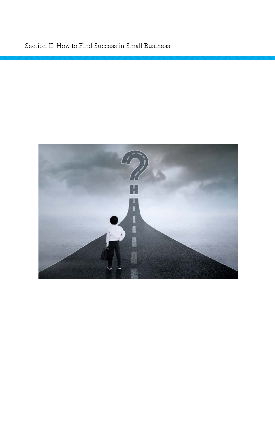#### Section II: How to Find Success in Small Business

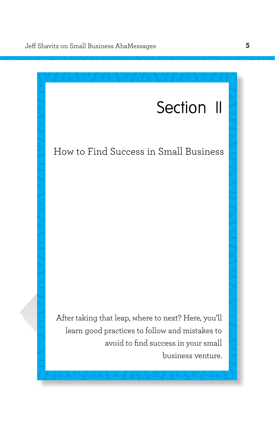

#### <span id="page-5-0"></span>How to Find Success in Small Business

After taking that leap, where to next? Here, you'll learn good practices to follow and mistakes to avoid to find success in your small business venture.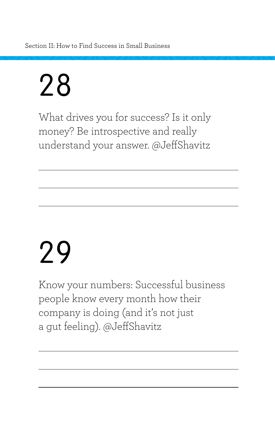Section II: How to Find Success in Small Business

## 28

What drives you for success? Is it only money? Be introspective and really understand your answer. @JeffShavitz

## 29

Know your numbers: Successful business people know every month how their company is doing (and it's not just a gut feeling). @JeffShavitz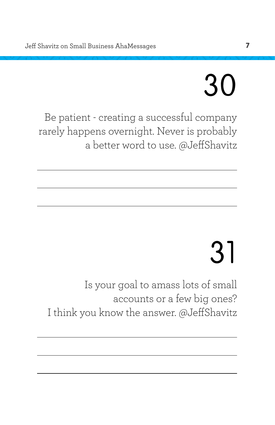# 30

Be patient - creating a successful company rarely happens overnight. Never is probably a better word to use. @JeffShavitz

# 31

Is your goal to amass lots of small accounts or a few big ones? I think you know the answer. @JeffShavitz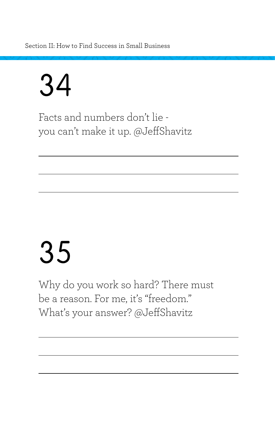Section II: How to Find Success in Small Business

### 34

Facts and numbers don't lie you can't make it up. @JeffShavitz

## 35

Why do you work so hard? There must be a reason. For me, it's "freedom." What's your answer? @JeffShavitz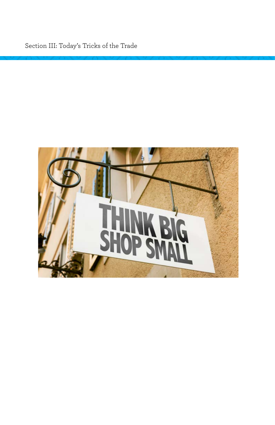Section III: Today's Tricks of the Trade

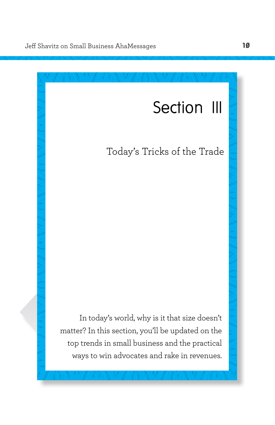#### Section III

#### <span id="page-10-0"></span>Today's Tricks of the Trade

In today's world, why is it that size doesn't matter? In this section, you'll be updated on the top trends in small business and the practical ways to win advocates and rake in revenues.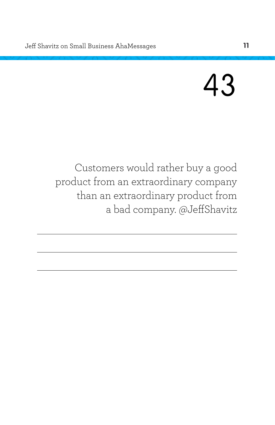### 43

Customers would rather buy a good product from an extraordinary company than an extraordinary product from a bad company. @JeffShavitz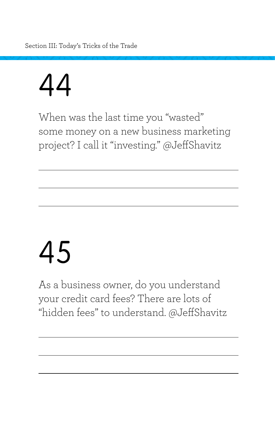Section III: Today's Tricks of the Trade

## 44

When was the last time you "wasted" some money on a new business marketing project? I call it "investing." @JeffShavitz

## 45

As a business owner, do you understand your credit card fees? There are lots of "hidden fees" to understand. @JeffShavitz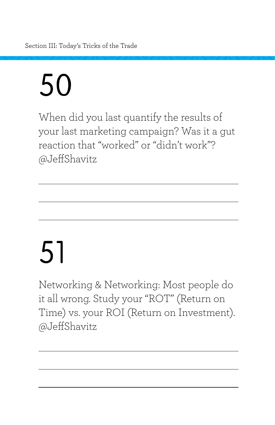Section III: Today's Tricks of the Trade

# 50

When did you last quantify the results of your last marketing campaign? Was it a gut reaction that "worked" or "didn't work"? @JeffShavitz

# 51

Networking & Networking: Most people do it all wrong. Study your "ROT" (Return on Time) vs. your ROI (Return on Investment). @JeffShavitz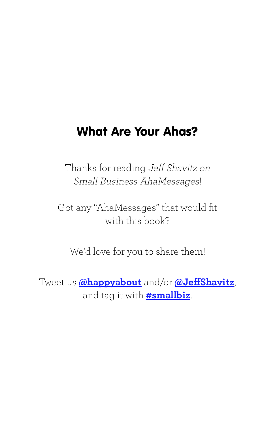#### What Are Your Ahas?

Thanks for reading Jeff Shavitz on Small Business AhaMessages!

Got any "AhaMessages" that would fit with this book?

We'd love for you to share them!

Tweet us **@happyabout** and/or **@JeffShavitz**, and tag it with **#smallbiz**.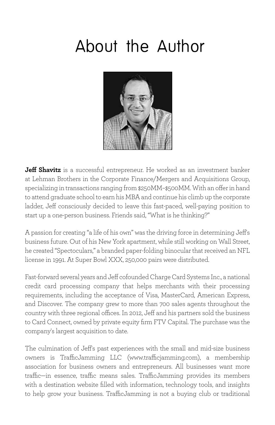### <span id="page-15-0"></span>About the Author



**Jeff Shavitz** is a successful entrepreneur. He worked as an investment banker at Lehman Brothers in the Corporate Finance/Mergers and Acquisitions Group, specializing in transactions ranging from \$250MM–\$500MM. With an offer in hand to attend graduate school to earn his MBA and continue his climb up the corporate ladder, Jeff consciously decided to leave this fast-paced, well-paying position to start up a one-person business. Friends said, "What is he thinking?"

A passion for creating "a life of his own" was the driving force in determining Jeff's business future. Out of his New York apartment, while still working on Wall Street, he created "Spectoculars," a branded paper-folding binocular that received an NFL license in 1991. At Super Bowl XXX, 250,000 pairs were distributed.

Fast-forward several years and Jeff cofounded Charge Card Systems Inc., a national credit card processing company that helps merchants with their processing requirements, including the acceptance of Visa, MasterCard, American Express, and Discover. The company grew to more than 700 sales agents throughout the country with three regional offices. In 2012, Jeff and his partners sold the business to Card Connect, owned by private equity firm FTV Capital. The purchase was the company's largest acquisition to date.

The culmination of Jeff's past experiences with the small and mid-size business owners is TrafficJamming LLC [\(www.trafficjamming.com\)](www.trafficjamming.com), a membership association for business owners and entrepreneurs. All businesses want more traffic—in essence, traffic means sales. TrafficJamming provides its members with a destination website filled with information, technology tools, and insights to help grow your business. TrafficJamming is not a buying club or traditional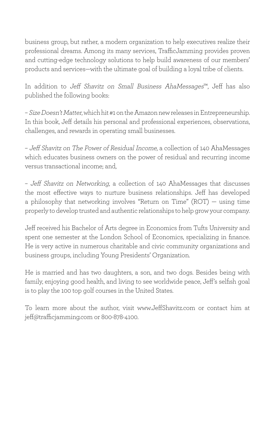business group, but rather, a modern organization to help executives realize their professional dreams. Among its many services, TrafficJamming provides proven and cutting-edge technology solutions to help build awareness of our members' products and services—with the ultimate goal of building a loyal tribe of clients.

In addition to Jeff Shavitz on Small Business AhaMessages™, Jeff has also published the following books:

– Size Doesn't Matter, which hit #1 on the Amazon new releases in Entrepreneurship. In this book, Jeff details his personal and professional experiences, observations, challenges, and rewards in operating small businesses.

– Jeff Shavitz on The Power of Residual Income, a collection of 140 AhaMessages which educates business owners on the power of residual and recurring income versus transactional income; and,

– Jeff Shavitz on Networking, a collection of 140 AhaMessages that discusses the most effective ways to nurture business relationships. Jeff has developed a philosophy that networking involves "Return on Time" (ROT) — using time properly to develop trusted and authentic relationships to help grow your company.

Jeff received his Bachelor of Arts degree in Economics from Tufts University and spent one semester at the London School of Economics, specializing in finance. He is very active in numerous charitable and civic community organizations and business groups, including Young Presidents' Organization.

He is married and has two daughters, a son, and two dogs. Besides being with family, enjoying good health, and living to see worldwide peace, Jeff's selfish goal is to play the 100 top golf courses in the United States.

To learn more about the author, visit <www.JeffShavitz.com> or contact him at [jeff@trafficjamming.com](mailto:jeff@trafficjamming.com) or 800-878-4100.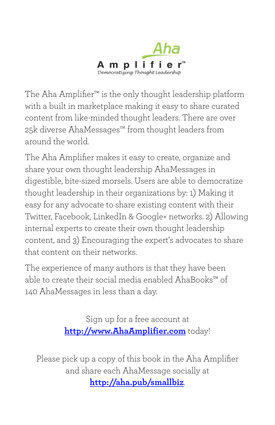

The Aha Amplifier™ is the only thought leadership platform with a built in marketplace making it easy to share curated content from like-minded thought leaders. There are over 25k diverse AhaMessages™ from thought leaders from around the world.

The Aha Amplifier makes it easy to create, organize and share your own thought leadership AhaMessages in digestible, bite-sized morsels. Users are able to democratize thought leadership in their organizations by: 1) Making it easy for any advocate to share existing content with their Twitter, Facebook, LinkedIn & Google+ networks. 2) Allowing internal experts to create their own thought leadership content, and 3) Encouraging the expert's advocates to share that content on their networks.

The experience of many authors is that they have been able to create their social media enabled AhaBooks™ of 140 AhaMessages in less than a day.

> Sign up for a free account at **<http://www.AhaAmplifier.com>** today!

Please pick up a copy of this book in the Aha Amplifier and share each AhaMessage socially at **<http://aha.pub/smallbiz>**.